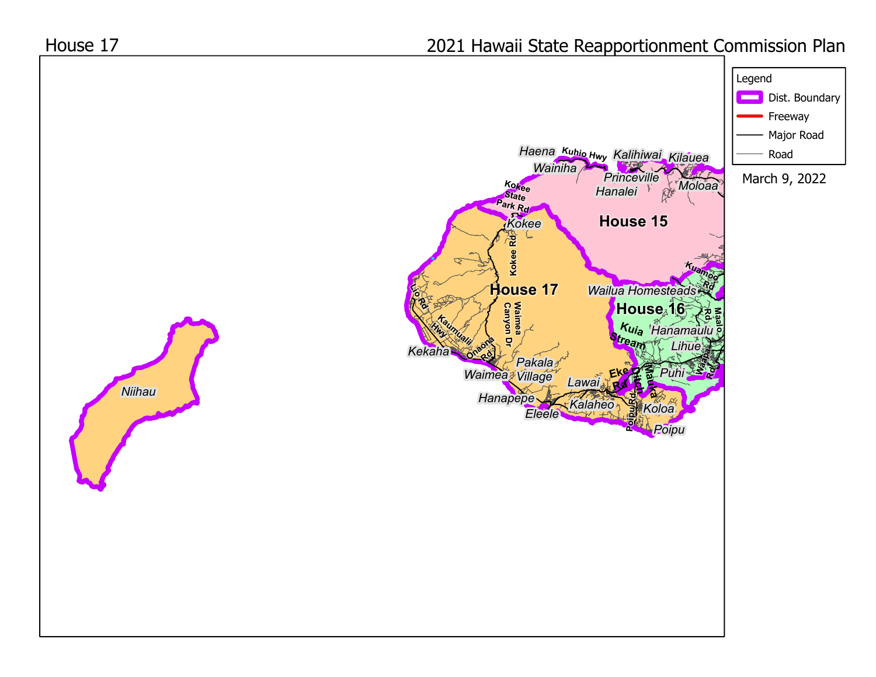## 2021 Hawaii State Reapportionment Commission Plan